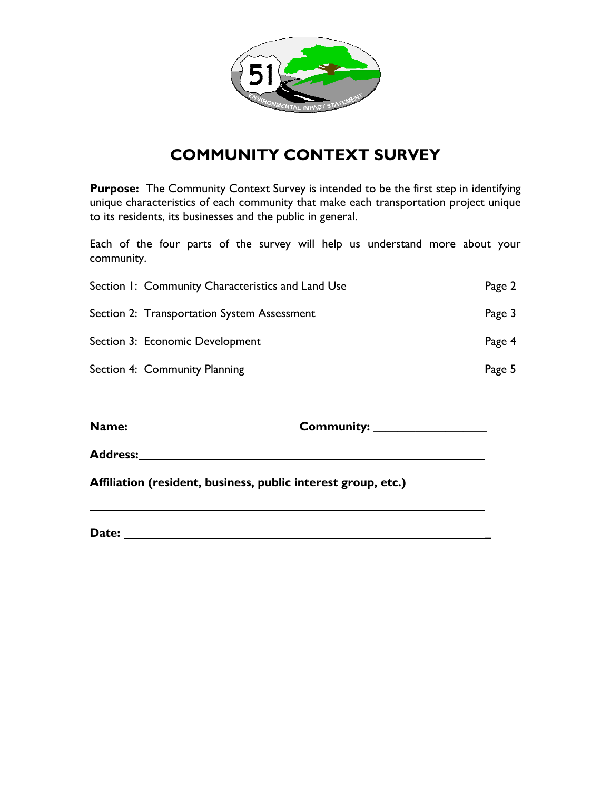

# **COMMUNITY CONTEXT SURVEY**

**Purpose:** The Community Context Survey is intended to be the first step in identifying unique characteristics of each community that make each transportation project unique to its residents, its businesses and the public in general.

Each of the four parts of the survey will help us understand more about your community.

| Section 1: Community Characteristics and Land Use | Page 2 |
|---------------------------------------------------|--------|
| Section 2: Transportation System Assessment       | Page 3 |
| Section 3: Economic Development                   | Page 4 |
| Section 4: Community Planning                     | Page 5 |

**Name: Community: \_\_\_\_\_\_\_\_\_\_\_\_\_\_\_\_\_\_\_**

**Address:** 

**Affiliation (resident, business, public interest group, etc.)** 

**Date: \_**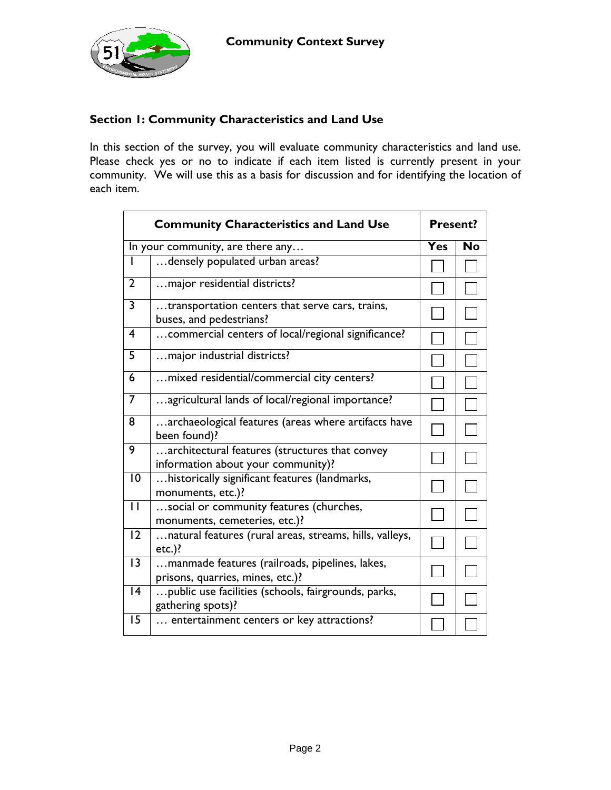

### **Section 1: Community Characteristics and Land Use**

In this section of the survey, you will evaluate community characteristics and land use. Please check yes or no to indicate if each item listed is currently present in your community. We will use this as a basis for discussion and for identifying the location of each item.

|                 | <b>Community Characteristics and Land Use</b>                                        | <b>Present?</b> |           |
|-----------------|--------------------------------------------------------------------------------------|-----------------|-----------|
|                 | In your community, are there any                                                     | Yes             | <b>No</b> |
|                 | densely populated urban areas?                                                       |                 |           |
| $\overline{2}$  | major residential districts?                                                         |                 |           |
| 3               | transportation centers that serve cars, trains,<br>buses, and pedestrians?           |                 |           |
| $\overline{4}$  | commercial centers of local/regional significance?                                   |                 |           |
| 5               | major industrial districts?                                                          |                 |           |
| 6               | mixed residential/commercial city centers?                                           |                 |           |
| 7               | agricultural lands of local/regional importance?                                     |                 |           |
| 8               | archaeological features (areas where artifacts have<br>been found)?                  |                 |           |
| 9               | architectural features (structures that convey<br>information about your community)? |                 |           |
| 10              | historically significant features (landmarks,<br>monuments, etc.)?                   |                 |           |
| $\mathbf{H}$    | social or community features (churches,<br>monuments, cemeteries, etc.)?             |                 |           |
| $\overline{12}$ | natural features (rural areas, streams, hills, valleys,<br>$etc.$ )?                 |                 |           |
| $\overline{13}$ | manmade features (railroads, pipelines, lakes,<br>prisons, quarries, mines, etc.)?   |                 |           |
| 4               | public use facilities (schools, fairgrounds, parks,<br>gathering spots)?             |                 |           |
| 15              | entertainment centers or key attractions?                                            |                 |           |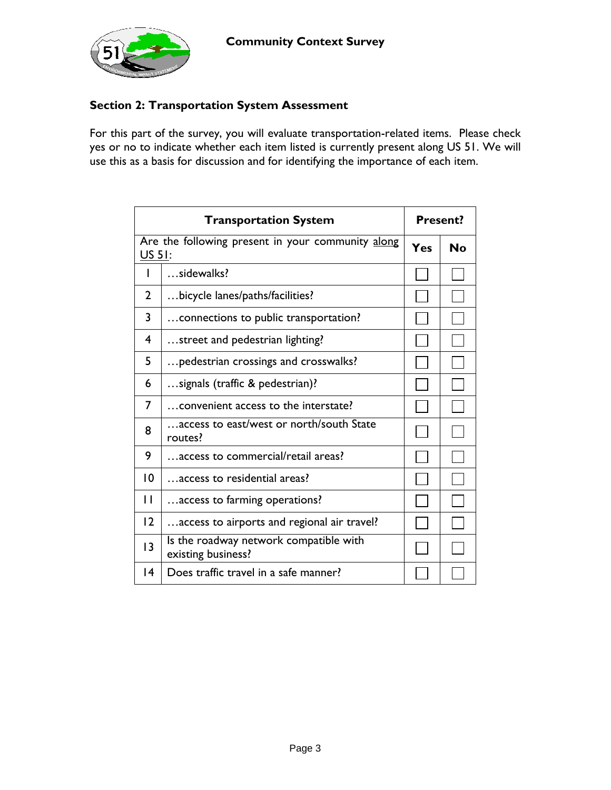

#### **Section 2: Transportation System Assessment**

For this part of the survey, you will evaluate transportation-related items. Please check yes or no to indicate whether each item listed is currently present along US 51. We will use this as a basis for discussion and for identifying the importance of each item.

| <b>Transportation System</b> |                                                                    | <b>Present?</b> |           |
|------------------------------|--------------------------------------------------------------------|-----------------|-----------|
|                              | Are the following present in your community along<br><b>US 51:</b> |                 | <b>No</b> |
| ı                            | sidewalks?                                                         |                 |           |
| $\mathbf{2}$                 | bicycle lanes/paths/facilities?                                    |                 |           |
| 3                            | connections to public transportation?                              |                 |           |
| $\overline{\mathbf{4}}$      | street and pedestrian lighting?                                    |                 |           |
| 5                            | pedestrian crossings and crosswalks?                               |                 |           |
| 6                            | signals (traffic & pedestrian)?                                    |                 |           |
| 7                            | convenient access to the interstate?                               |                 |           |
| 8                            | access to east/west or north/south State<br>routes?                |                 |           |
| 9                            | access to commercial/retail areas?                                 |                 |           |
| $\overline{0}$               | access to residential areas?                                       |                 |           |
| П                            | access to farming operations?                                      |                 |           |
| 12                           | access to airports and regional air travel?                        |                 |           |
| 3                            | Is the roadway network compatible with<br>existing business?       |                 |           |
| $\overline{14}$              | Does traffic travel in a safe manner?                              |                 |           |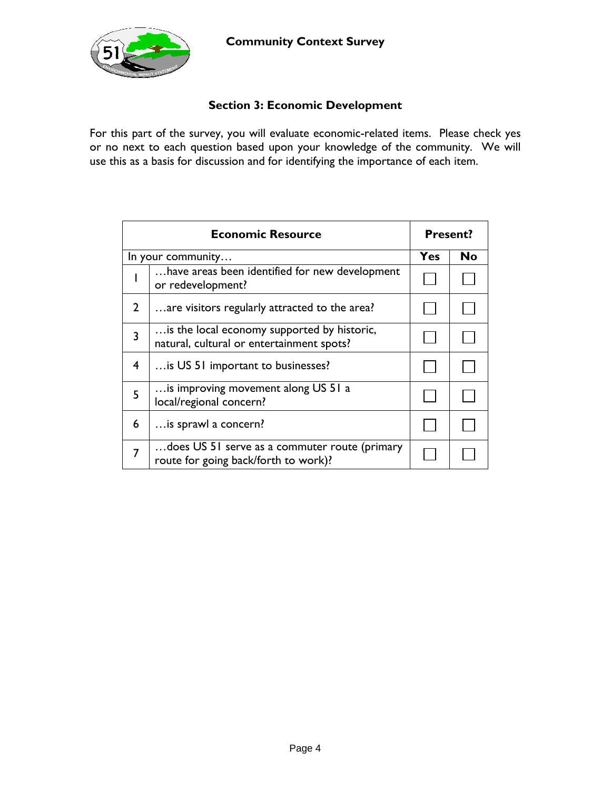

## **Section 3: Economic Development**

For this part of the survey, you will evaluate economic-related items. Please check yes or no next to each question based upon your knowledge of the community. We will use this as a basis for discussion and for identifying the importance of each item.

| <b>Economic Resource</b> |                                                                                          | <b>Present?</b> |    |
|--------------------------|------------------------------------------------------------------------------------------|-----------------|----|
| In your community        |                                                                                          | Yes             | No |
|                          | have areas been identified for new development<br>or redevelopment?                      |                 |    |
| $\overline{2}$           | are visitors regularly attracted to the area?                                            |                 |    |
| $\overline{\mathbf{3}}$  | is the local economy supported by historic,<br>natural, cultural or entertainment spots? |                 |    |
| 4                        | is US 51 important to businesses?                                                        |                 |    |
| 5                        | is improving movement along US 51 a<br>local/regional concern?                           |                 |    |
| 6                        | is sprawl a concern?                                                                     |                 |    |
| 7                        | does US 51 serve as a commuter route (primary<br>route for going back/forth to work)?    |                 |    |